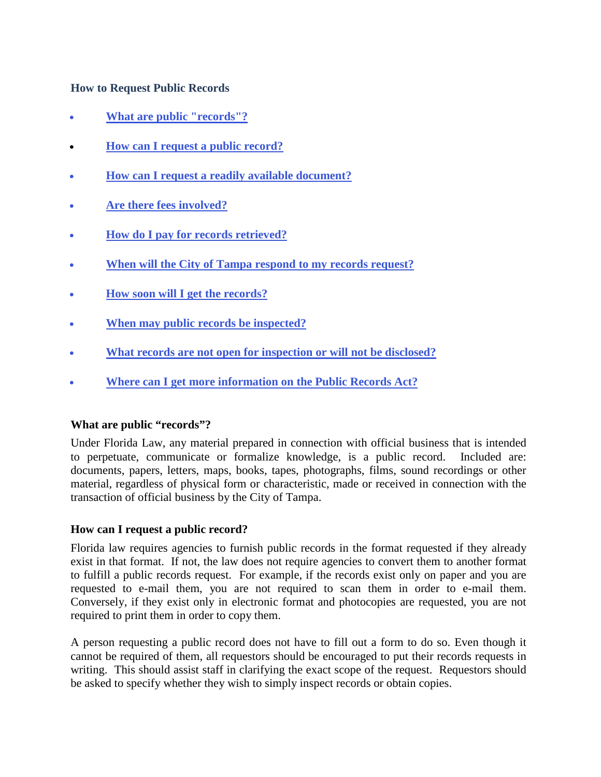# **How to Request Public Records**

- **[What are public "records"?](#page-0-0)**
- **[How can I request a public record?](#page-0-1)**
- **[How can I request a readily available document?](#page-1-0)**
- **[Are there fees involved?](#page-1-1)**
- **[How do I pay for records retrieved?](#page-2-0)**
- **[When will the City of Tampa respond to my records request?](#page-2-1)**
- **[How soon will I get the records?](#page-2-2)**
- **[When may public records be inspected?](#page-2-3)**
- **[What records are not open for inspection or will not be disclosed?](#page-3-0)**
- **[Where can I get more information on the Public Records Act?](#page-4-0)**

## <span id="page-0-0"></span>**What are public "records"?**

Under Florida Law, any material prepared in connection with official business that is intended to perpetuate, communicate or formalize knowledge, is a public record. Included are: documents, papers, letters, maps, books, tapes, photographs, films, sound recordings or other material, regardless of physical form or characteristic, made or received in connection with the transaction of official business by the City of Tampa.

## <span id="page-0-1"></span>**How can I request a public record?**

Florida law requires agencies to furnish public records in the format requested if they already exist in that format. If not, the law does not require agencies to convert them to another format to fulfill a public records request. For example, if the records exist only on paper and you are requested to e-mail them, you are not required to scan them in order to e-mail them. Conversely, if they exist only in electronic format and photocopies are requested, you are not required to print them in order to copy them.

A person requesting a public record does not have to fill out a form to do so. Even though it cannot be required of them, all requestors should be encouraged to put their records requests in writing. This should assist staff in clarifying the exact scope of the request. Requestors should be asked to specify whether they wish to simply inspect records or obtain copies.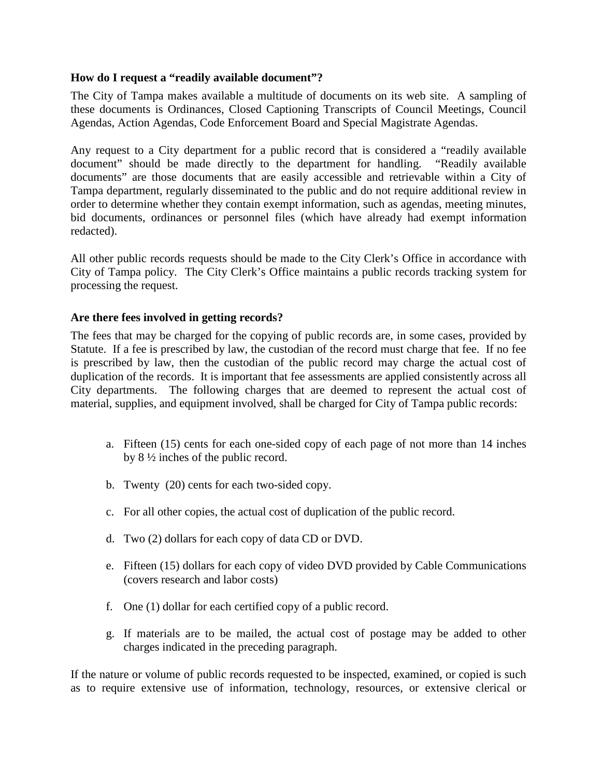# <span id="page-1-0"></span>**How do I request a "readily available document"?**

The City of Tampa makes available a multitude of documents on its web site. A sampling of these documents is Ordinances, Closed Captioning Transcripts of Council Meetings, Council Agendas, Action Agendas, Code Enforcement Board and Special Magistrate Agendas.

Any request to a City department for a public record that is considered a "readily available document" should be made directly to the department for handling. "Readily available documents" are those documents that are easily accessible and retrievable within a City of Tampa department, regularly disseminated to the public and do not require additional review in order to determine whether they contain exempt information, such as agendas, meeting minutes, bid documents, ordinances or personnel files (which have already had exempt information redacted).

All other public records requests should be made to the City Clerk's Office in accordance with City of Tampa policy. The City Clerk's Office maintains a public records tracking system for processing the request.

# <span id="page-1-1"></span>**Are there fees involved in getting records?**

The fees that may be charged for the copying of public records are, in some cases, provided by Statute. If a fee is prescribed by law, the custodian of the record must charge that fee. If no fee is prescribed by law, then the custodian of the public record may charge the actual cost of duplication of the records. It is important that fee assessments are applied consistently across all City departments. The following charges that are deemed to represent the actual cost of material, supplies, and equipment involved, shall be charged for City of Tampa public records:

- a. Fifteen (15) cents for each one-sided copy of each page of not more than 14 inches by 8 ½ inches of the public record.
- b. Twenty (20) cents for each two-sided copy.
- c. For all other copies, the actual cost of duplication of the public record.
- d. Two (2) dollars for each copy of data CD or DVD.
- e. Fifteen (15) dollars for each copy of video DVD provided by Cable Communications (covers research and labor costs)
- f. One (1) dollar for each certified copy of a public record.
- g. If materials are to be mailed, the actual cost of postage may be added to other charges indicated in the preceding paragraph.

If the nature or volume of public records requested to be inspected, examined, or copied is such as to require extensive use of information, technology, resources, or extensive clerical or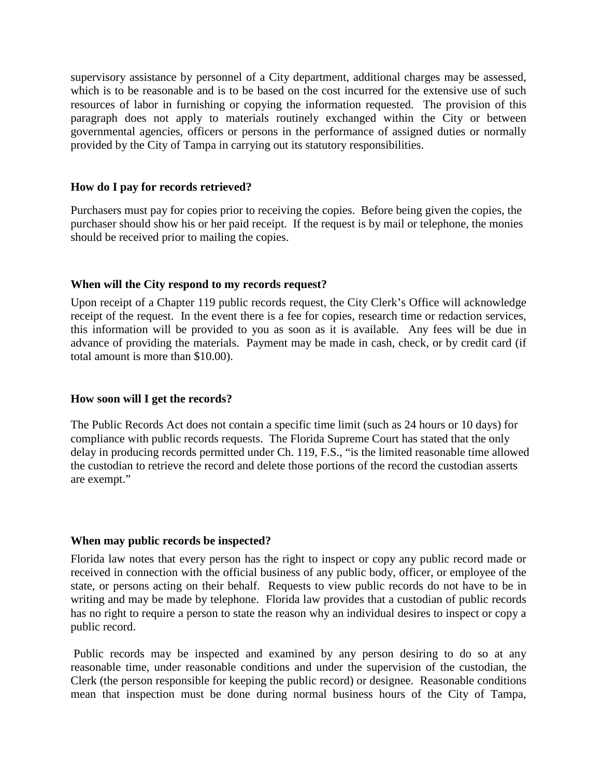supervisory assistance by personnel of a City department, additional charges may be assessed, which is to be reasonable and is to be based on the cost incurred for the extensive use of such resources of labor in furnishing or copying the information requested. The provision of this paragraph does not apply to materials routinely exchanged within the City or between governmental agencies, officers or persons in the performance of assigned duties or normally provided by the City of Tampa in carrying out its statutory responsibilities.

#### <span id="page-2-0"></span>**How do I pay for records retrieved?**

Purchasers must pay for copies prior to receiving the copies. Before being given the copies, the purchaser should show his or her paid receipt. If the request is by mail or telephone, the monies should be received prior to mailing the copies.

## <span id="page-2-1"></span>**When will the City respond to my records request?**

Upon receipt of a Chapter 119 public records request, the City Clerk's Office will acknowledge receipt of the request. In the event there is a fee for copies, research time or redaction services, this information will be provided to you as soon as it is available. Any fees will be due in advance of providing the materials. Payment may be made in cash, check, or by credit card (if total amount is more than \$10.00).

#### <span id="page-2-2"></span>**How soon will I get the records?**

The Public Records Act does not contain a specific time limit (such as 24 hours or 10 days) for compliance with public records requests. The Florida Supreme Court has stated that the only delay in producing records permitted under Ch. 119, F.S., "is the limited reasonable time allowed the custodian to retrieve the record and delete those portions of the record the custodian asserts are exempt."

#### <span id="page-2-3"></span>**When may public records be inspected?**

Florida law notes that every person has the right to inspect or copy any public record made or received in connection with the official business of any public body, officer, or employee of the state, or persons acting on their behalf. Requests to view public records do not have to be in writing and may be made by telephone. Florida law provides that a custodian of public records has no right to require a person to state the reason why an individual desires to inspect or copy a public record.

Public records may be inspected and examined by any person desiring to do so at any reasonable time, under reasonable conditions and under the supervision of the custodian, the Clerk (the person responsible for keeping the public record) or designee. Reasonable conditions mean that inspection must be done during normal business hours of the City of Tampa,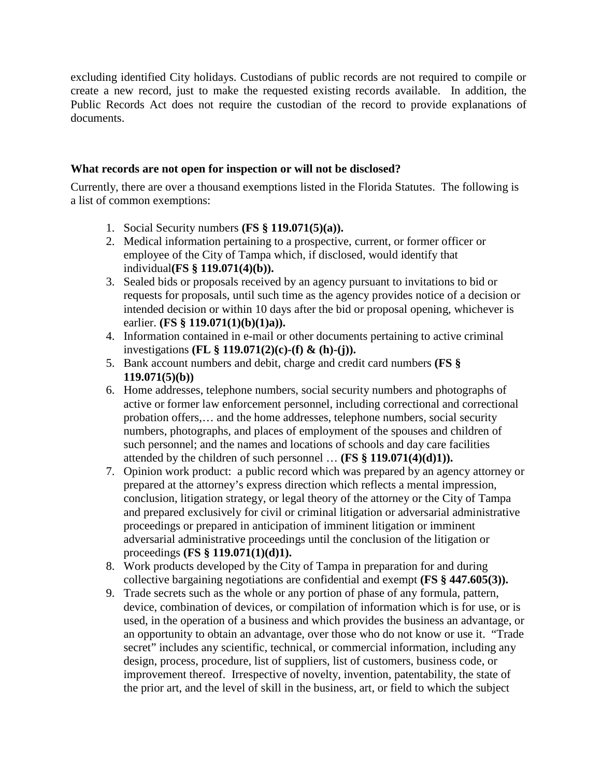excluding identified City holidays. Custodians of public records are not required to compile or create a new record, just to make the requested existing records available. In addition, the Public Records Act does not require the custodian of the record to provide explanations of documents.

# <span id="page-3-0"></span>**What records are not open for inspection or will not be disclosed?**

Currently, there are over a thousand exemptions listed in the Florida Statutes. The following is a list of common exemptions:

- 1. Social Security numbers **(FS § 119.071(5)(a)).**
- 2. Medical information pertaining to a prospective, current, or former officer or employee of the City of Tampa which, if disclosed, would identify that individual**(FS § 119.071(4)(b)).**
- 3. Sealed bids or proposals received by an agency pursuant to invitations to bid or requests for proposals, until such time as the agency provides notice of a decision or intended decision or within 10 days after the bid or proposal opening, whichever is earlier. **(FS § 119.071(1)(b)(1)a)).**
- 4. Information contained in e-mail or other documents pertaining to active criminal investigations **(FL § 119.071(2)(c)-(f) & (h)-(j)).**
- 5. Bank account numbers and debit, charge and credit card numbers **(FS § 119.071(5)(b))**
- 6. Home addresses, telephone numbers, social security numbers and photographs of active or former law enforcement personnel, including correctional and correctional probation offers,… and the home addresses, telephone numbers, social security numbers, photographs, and places of employment of the spouses and children of such personnel; and the names and locations of schools and day care facilities attended by the children of such personnel … **(FS § 119.071(4)(d)1)).**
- 7. Opinion work product: a public record which was prepared by an agency attorney or prepared at the attorney's express direction which reflects a mental impression, conclusion, litigation strategy, or legal theory of the attorney or the City of Tampa and prepared exclusively for civil or criminal litigation or adversarial administrative proceedings or prepared in anticipation of imminent litigation or imminent adversarial administrative proceedings until the conclusion of the litigation or proceedings **(FS § 119.071(1)(d)1).**
- 8. Work products developed by the City of Tampa in preparation for and during collective bargaining negotiations are confidential and exempt **(FS § 447.605(3)).**
- 9. Trade secrets such as the whole or any portion of phase of any formula, pattern, device, combination of devices, or compilation of information which is for use, or is used, in the operation of a business and which provides the business an advantage, or an opportunity to obtain an advantage, over those who do not know or use it. "Trade secret" includes any scientific, technical, or commercial information, including any design, process, procedure, list of suppliers, list of customers, business code, or improvement thereof. Irrespective of novelty, invention, patentability, the state of the prior art, and the level of skill in the business, art, or field to which the subject